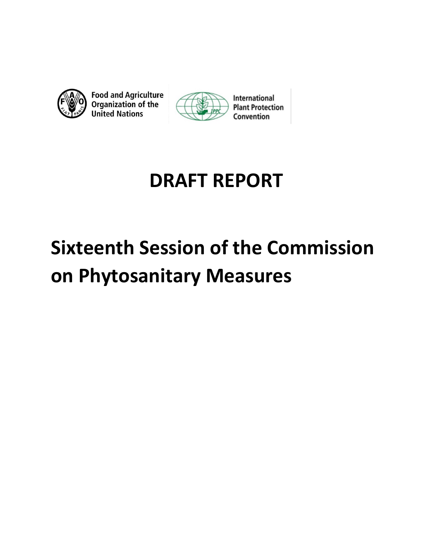



## **DRAFT REPORT**

# **Sixteenth Session of the Commission on Phytosanitary Measures**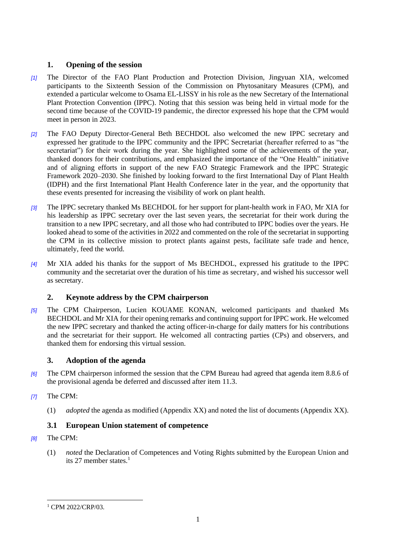## **1. Opening of the session**

- *[1]* The Director of the FAO Plant Production and Protection Division, Jingyuan XIA, welcomed participants to the Sixteenth Session of the Commission on Phytosanitary Measures (CPM), and extended a particular welcome to Osama EL-LISSY in his role as the new Secretary of the International Plant Protection Convention (IPPC). Noting that this session was being held in virtual mode for the second time because of the COVID-19 pandemic, the director expressed his hope that the CPM would meet in person in 2023.
- *[2]* The FAO Deputy Director-General Beth BECHDOL also welcomed the new IPPC secretary and expressed her gratitude to the IPPC community and the IPPC Secretariat (hereafter referred to as "the secretariat") for their work during the year. She highlighted some of the achievements of the year, thanked donors for their contributions, and emphasized the importance of the "One Health" initiative and of aligning efforts in support of the new FAO Strategic Framework and the IPPC Strategic Framework 2020–2030. She finished by looking forward to the first International Day of Plant Health (IDPH) and the first International Plant Health Conference later in the year, and the opportunity that these events presented for increasing the visibility of work on plant health.
- *[3]* The IPPC secretary thanked Ms BECHDOL for her support for plant-health work in FAO, Mr XIA for his leadership as IPPC secretary over the last seven years, the secretariat for their work during the transition to a new IPPC secretary, and all those who had contributed to IPPC bodies over the years. He looked ahead to some of the activities in 2022 and commented on the role of the secretariat in supporting the CPM in its collective mission to protect plants against pests, facilitate safe trade and hence, ultimately, feed the world.
- *[4]* Mr XIA added his thanks for the support of Ms BECHDOL, expressed his gratitude to the IPPC community and the secretariat over the duration of his time as secretary, and wished his successor well as secretary.

## **2. Keynote address by the CPM chairperson**

*[5]* The CPM Chairperson, Lucien KOUAME KONAN, welcomed participants and thanked Ms BECHDOL and Mr XIA for their opening remarks and continuing support for IPPC work. He welcomed the new IPPC secretary and thanked the acting officer-in-charge for daily matters for his contributions and the secretariat for their support. He welcomed all contracting parties (CPs) and observers, and thanked them for endorsing this virtual session.

## **3. Adoption of the agenda**

- *[6]* The CPM chairperson informed the session that the CPM Bureau had agreed that agenda item 8.8.6 of the provisional agenda be deferred and discussed after item 11.3.
- *[7]* The CPM:
	- (1) *adopted* the agenda as modified (Appendix XX) and noted the list of documents (Appendix XX).

## **3.1 European Union statement of competence**

- *[8]* The CPM:
	- (1) *noted* the Declaration of Competences and Voting Rights submitted by the European Union and its 27 member states. $<sup>1</sup>$ </sup>

<sup>&</sup>lt;sup>1</sup> CPM 2022/CRP/03.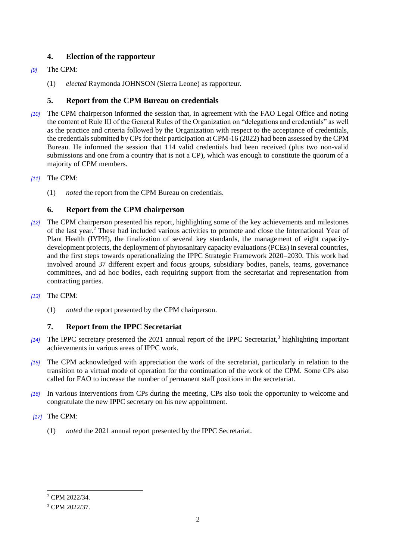## **4. Election of the rapporteur**

## *[9]* The CPM:

(1) *elected* Raymonda JOHNSON (Sierra Leone) as rapporteur*.*

## **5. Report from the CPM Bureau on credentials**

- *[10]* The CPM chairperson informed the session that, in agreement with the FAO Legal Office and noting the content of Rule III of the General Rules of the Organization on "delegations and credentials" as well as the practice and criteria followed by the Organization with respect to the acceptance of credentials, the credentials submitted by CPs for their participation at CPM-16 (2022) had been assessed by the CPM Bureau. He informed the session that 114 valid credentials had been received (plus two non-valid submissions and one from a country that is not a CP), which was enough to constitute the quorum of a majority of CPM members.
- *[11]* The CPM:
	- (1) *noted* the report from the CPM Bureau on credentials.

## **6. Report from the CPM chairperson**

- *[12]* The CPM chairperson presented his report, highlighting some of the key achievements and milestones of the last year.<sup>2</sup> These had included various activities to promote and close the International Year of Plant Health (IYPH), the finalization of several key standards, the management of eight capacitydevelopment projects, the deployment of phytosanitary capacity evaluations (PCEs) in several countries, and the first steps towards operationalizing the IPPC Strategic Framework 2020–2030. This work had involved around 37 different expert and focus groups, subsidiary bodies, panels, teams, governance committees, and ad hoc bodies, each requiring support from the secretariat and representation from contracting parties.
- *[13]* The CPM:
	- (1) *noted* the report presented by the CPM chairperson.

## **7. Report from the IPPC Secretariat**

- [14] The IPPC secretary presented the 2021 annual report of the IPPC Secretariat,<sup>3</sup> highlighting important achievements in various areas of IPPC work.
- *[15]* The CPM acknowledged with appreciation the work of the secretariat, particularly in relation to the transition to a virtual mode of operation for the continuation of the work of the CPM. Some CPs also called for FAO to increase the number of permanent staff positions in the secretariat.
- *[16]* In various interventions from CPs during the meeting, CPs also took the opportunity to welcome and congratulate the new IPPC secretary on his new appointment.
- *[17]* The CPM:
	- (1) *noted* the 2021 annual report presented by the IPPC Secretariat.

<sup>2</sup> CPM 2022/34.

<sup>3</sup> CPM 2022/37.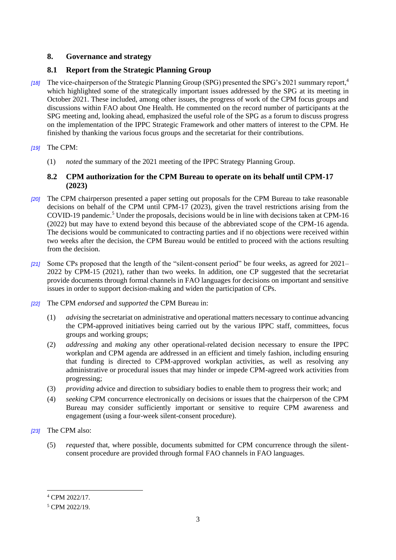## **8. Governance and strategy**

## **8.1 Report from the Strategic Planning Group**

*[18]* The vice-chairperson of the Strategic Planning Group (SPG) presented the SPG's 2021 summary report,<sup>4</sup> which highlighted some of the strategically important issues addressed by the SPG at its meeting in October 2021. These included, among other issues, the progress of work of the CPM focus groups and discussions within FAO about One Health. He commented on the record number of participants at the SPG meeting and, looking ahead, emphasized the useful role of the SPG as a forum to discuss progress on the implementation of the IPPC Strategic Framework and other matters of interest to the CPM. He finished by thanking the various focus groups and the secretariat for their contributions.

## *[19]* The CPM:

(1) *noted* the summary of the 2021 meeting of the IPPC Strategy Planning Group.

## **8.2 CPM authorization for the CPM Bureau to operate on its behalf until CPM-17 (2023)**

- *[20]* The CPM chairperson presented a paper setting out proposals for the CPM Bureau to take reasonable decisions on behalf of the CPM until CPM-17 (2023), given the travel restrictions arising from the COVID-19 pandemic.<sup>5</sup> Under the proposals, decisions would be in line with decisions taken at CPM-16 (2022) but may have to extend beyond this because of the abbreviated scope of the CPM-16 agenda. The decisions would be communicated to contracting parties and if no objections were received within two weeks after the decision, the CPM Bureau would be entitled to proceed with the actions resulting from the decision.
- *[21]* Some CPs proposed that the length of the "silent-consent period" be four weeks, as agreed for 2021– 2022 by CPM-15 (2021), rather than two weeks. In addition, one CP suggested that the secretariat provide documents through formal channels in FAO languages for decisions on important and sensitive issues in order to support decision-making and widen the participation of CPs.
- *[22]* The CPM *endorsed* and *supported* the CPM Bureau in:
	- (1) *advising* the secretariat on administrative and operational matters necessary to continue advancing the CPM-approved initiatives being carried out by the various IPPC staff, committees, focus groups and working groups;
	- (2) *addressing* and *making* any other operational-related decision necessary to ensure the IPPC workplan and CPM agenda are addressed in an efficient and timely fashion, including ensuring that funding is directed to CPM-approved workplan activities, as well as resolving any administrative or procedural issues that may hinder or impede CPM-agreed work activities from progressing;
	- (3) *providing* advice and direction to subsidiary bodies to enable them to progress their work; and
	- (4) *seeking* CPM concurrence electronically on decisions or issues that the chairperson of the CPM Bureau may consider sufficiently important or sensitive to require CPM awareness and engagement (using a four-week silent-consent procedure).
- *[23]* The CPM also:
	- (5) *requested* that, where possible, documents submitted for CPM concurrence through the silentconsent procedure are provided through formal FAO channels in FAO languages.

<sup>4</sup> CPM 2022/17.

<sup>5</sup> CPM 2022/19.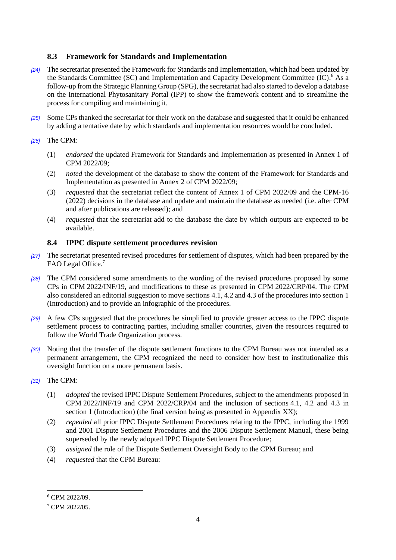## **8.3 Framework for Standards and Implementation**

- *[24]* The secretariat presented the Framework for Standards and Implementation, which had been updated by the Standards Committee (SC) and Implementation and Capacity Development Committee (IC).<sup>6</sup> As a follow-up from the Strategic Planning Group (SPG), the secretariat had also started to develop a database on the International Phytosanitary Portal (IPP) to show the framework content and to streamline the process for compiling and maintaining it.
- *[25]* Some CPs thanked the secretariat for their work on the database and suggested that it could be enhanced by adding a tentative date by which standards and implementation resources would be concluded.

## *[26]* The CPM:

- (1) *endorsed* the updated Framework for Standards and Implementation as presented in Annex 1 of CPM 2022/09;
- (2) *noted* the development of the database to show the content of the Framework for Standards and Implementation as presented in Annex 2 of CPM 2022/09;
- (3) *requested* that the secretariat reflect the content of Annex 1 of CPM 2022/09 and the CPM-16 (2022) decisions in the database and update and maintain the database as needed (i.e. after CPM and after publications are released); and
- (4) *requested* that the secretariat add to the database the date by which outputs are expected to be available.

## **8.4 IPPC dispute settlement procedures revision**

- *[27]* The secretariat presented revised procedures for settlement of disputes, which had been prepared by the FAO Legal Office.<sup>7</sup>
- *[28]* The CPM considered some amendments to the wording of the revised procedures proposed by some CPs in CPM 2022/INF/19, and modifications to these as presented in CPM 2022/CRP/04. The CPM also considered an editorial suggestion to move sections 4.1, 4.2 and 4.3 of the procedures into section 1 (Introduction) and to provide an infographic of the procedures.
- *[29]* A few CPs suggested that the procedures be simplified to provide greater access to the IPPC dispute settlement process to contracting parties, including smaller countries, given the resources required to follow the World Trade Organization process.
- *[30]* Noting that the transfer of the dispute settlement functions to the CPM Bureau was not intended as a permanent arrangement, the CPM recognized the need to consider how best to institutionalize this oversight function on a more permanent basis.
- *[31]* The CPM:
	- (1) *adopted* the revised IPPC Dispute Settlement Procedures, subject to the amendments proposed in CPM 2022/INF/19 and CPM 2022/CRP/04 and the inclusion of sections 4.1, 4.2 and 4.3 in section 1 (Introduction) (the final version being as presented in Appendix XX):
	- (2) *repealed* all prior IPPC Dispute Settlement Procedures relating to the IPPC, including the 1999 and 2001 Dispute Settlement Procedures and the 2006 Dispute Settlement Manual, these being superseded by the newly adopted IPPC Dispute Settlement Procedure;
	- (3) *assigned* the role of the Dispute Settlement Oversight Body to the CPM Bureau; and
	- (4) *requested* that the CPM Bureau:

<sup>6</sup> CPM 2022/09.

<sup>7</sup> CPM 2022/05.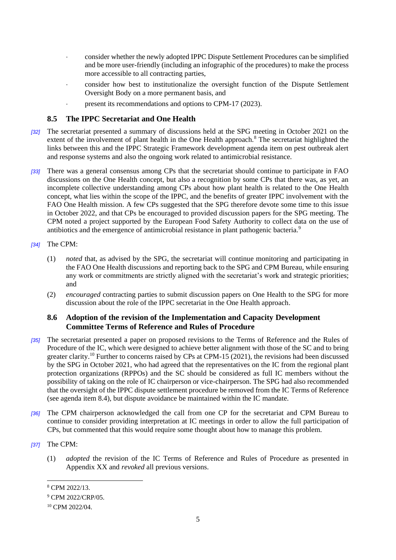- consider whether the newly adopted IPPC Dispute Settlement Procedures can be simplified and be more user-friendly (including an infographic of the procedures) to make the process more accessible to all contracting parties,
- consider how best to institutionalize the oversight function of the Dispute Settlement Oversight Body on a more permanent basis, and
- present its recommendations and options to CPM-17 (2023).

#### **8.5 The IPPC Secretariat and One Health**

- *[32]* The secretariat presented a summary of discussions held at the SPG meeting in October 2021 on the extent of the involvement of plant health in the One Health approach.<sup>8</sup> The secretariat highlighted the links between this and the IPPC Strategic Framework development agenda item on pest outbreak alert and response systems and also the ongoing work related to antimicrobial resistance.
- *[33]* There was a general consensus among CPs that the secretariat should continue to participate in FAO discussions on the One Health concept, but also a recognition by some CPs that there was, as yet, an incomplete collective understanding among CPs about how plant health is related to the One Health concept, what lies within the scope of the IPPC, and the benefits of greater IPPC involvement with the FAO One Health mission. A few CPs suggested that the SPG therefore devote some time to this issue in October 2022, and that CPs be encouraged to provided discussion papers for the SPG meeting. The CPM noted a project supported by the European Food Safety Authority to collect data on the use of antibiotics and the emergence of antimicrobial resistance in plant pathogenic bacteria.<sup>9</sup>
- *[34]* The CPM:
	- (1) *noted* that, as advised by the SPG, the secretariat will continue monitoring and participating in the FAO One Health discussions and reporting back to the SPG and CPM Bureau, while ensuring any work or commitments are strictly aligned with the secretariat's work and strategic priorities; and
	- (2) *encouraged* contracting parties to submit discussion papers on One Health to the SPG for more discussion about the role of the IPPC secretariat in the One Health approach.

#### **8.6 Adoption of the revision of the Implementation and Capacity Development Committee Terms of Reference and Rules of Procedure**

- *[35]* The secretariat presented a paper on proposed revisions to the Terms of Reference and the Rules of Procedure of the IC, which were designed to achieve better alignment with those of the SC and to bring greater clarity.<sup>10</sup> Further to concerns raised by CPs at CPM-15 (2021), the revisions had been discussed by the SPG in October 2021, who had agreed that the representatives on the IC from the regional plant protection organizations (RPPOs) and the SC should be considered as full IC members without the possibility of taking on the role of IC chairperson or vice-chairperson. The SPG had also recommended that the oversight of the IPPC dispute settlement procedure be removed from the IC Terms of Reference (see agenda item 8.4), but dispute avoidance be maintained within the IC mandate.
- *[36]* The CPM chairperson acknowledged the call from one CP for the secretariat and CPM Bureau to continue to consider providing interpretation at IC meetings in order to allow the full participation of CPs, but commented that this would require some thought about how to manage this problem.
- *[37]* The CPM:

-

(1) *adopted* the revision of the IC Terms of Reference and Rules of Procedure as presented in Appendix XX and *revoked* all previous versions.

<sup>8</sup> CPM 2022/13.

<sup>&</sup>lt;sup>9</sup> CPM 2022/CRP/05.

<sup>10</sup> CPM 2022/04.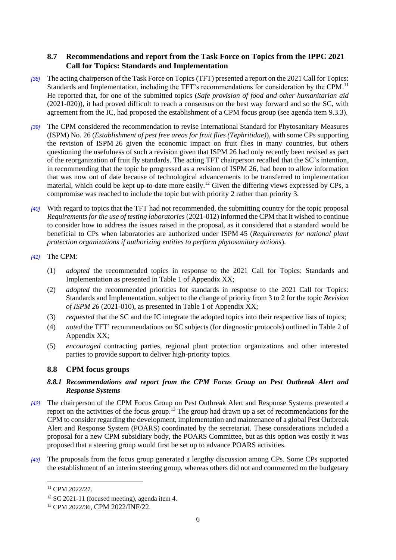## **8.7 Recommendations and report from the Task Force on Topics from the IPPC 2021 Call for Topics: Standards and Implementation**

- *[38]* The acting chairperson of the Task Force on Topics (TFT) presented a report on the 2021 Call for Topics: Standards and Implementation, including the TFT's recommendations for consideration by the CPM.<sup>11</sup> He reported that, for one of the submitted topics (*Safe provision of food and other humanitarian aid* (2021-020)), it had proved difficult to reach a consensus on the best way forward and so the SC, with agreement from the IC, had proposed the establishment of a CPM focus group (see agenda item 9.3.3).
- *[39]* The CPM considered the recommendation to revise International Standard for Phytosanitary Measures (ISPM) No. 26 (*Establishment of pest free areas for fruit flies (Tephritidae)*), with some CPs supporting the revision of ISPM 26 given the economic impact on fruit flies in many countries, but others questioning the usefulness of such a revision given that ISPM 26 had only recently been revised as part of the reorganization of fruit fly standards. The acting TFT chairperson recalled that the SC's intention, in recommending that the topic be progressed as a revision of ISPM 26, had been to allow information that was now out of date because of technological advancements to be transferred to implementation material, which could be kept up-to-date more easily.<sup>12</sup> Given the differing views expressed by CPs, a compromise was reached to include the topic but with priority 2 rather than priority 3.
- *[40]* With regard to topics that the TFT had not recommended, the submitting country for the topic proposal *Requirements for the use of testing laboratories* (2021-012) informed the CPM that it wished to continue to consider how to address the issues raised in the proposal, as it considered that a standard would be beneficial to CPs when laboratories are authorized under ISPM 45 (*Requirements for national plant protection organizations if authorizing entities to perform phytosanitary actions*).

#### *[41]* The CPM:

- (1) *adopted* the recommended topics in response to the 2021 Call for Topics: Standards and Implementation as presented in Table 1 of Appendix XX;
- (2) *adopted* the recommended priorities for standards in response to the 2021 Call for Topics: Standards and Implementation, subject to the change of priority from 3 to 2 for the topic *Revision of ISPM 26* (2021-010), as presented in Table 1 of Appendix XX;
- (3) *requested* that the SC and the IC integrate the adopted topics into their respective lists of topics;
- (4) *noted* the TFT' recommendations on SC subjects (for diagnostic protocols) outlined in Table 2 of Appendix XX;
- (5) *encouraged* contracting parties, regional plant protection organizations and other interested parties to provide support to deliver high-priority topics.

## **8.8 CPM focus groups**

#### *8.8.1 Recommendations and report from the CPM Focus Group on Pest Outbreak Alert and Response Systems*

- *[42]* The chairperson of the CPM Focus Group on Pest Outbreak Alert and Response Systems presented a report on the activities of the focus group.<sup>13</sup> The group had drawn up a set of recommendations for the CPM to consider regarding the development, implementation and maintenance of a global Pest Outbreak Alert and Response System (POARS) coordinated by the secretariat. These considerations included a proposal for a new CPM subsidiary body, the POARS Committee, but as this option was costly it was proposed that a steering group would first be set up to advance POARS activities.
- *[43]* The proposals from the focus group generated a lengthy discussion among CPs. Some CPs supported the establishment of an interim steering group, whereas others did not and commented on the budgetary

<sup>11</sup> CPM 2022/27.

<sup>12</sup> SC 2021-11 (focused meeting), agenda item 4.

<sup>13</sup> CPM 2022/36, CPM 2022/INF/22.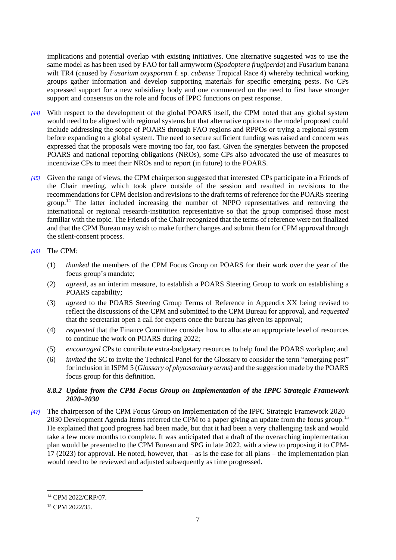implications and potential overlap with existing initiatives. One alternative suggested was to use the same model as has been used by FAO for fall armyworm (*Spodoptera frugiperda*) and Fusarium banana wilt TR4 (caused by *Fusarium oxysporum* f. sp. *cubense* Tropical Race 4) whereby technical working groups gather information and develop supporting materials for specific emerging pests. No CPs expressed support for a new subsidiary body and one commented on the need to first have stronger support and consensus on the role and focus of IPPC functions on pest response.

- *[44]* With respect to the development of the global POARS itself, the CPM noted that any global system would need to be aligned with regional systems but that alternative options to the model proposed could include addressing the scope of POARS through FAO regions and RPPOs or trying a regional system before expanding to a global system. The need to secure sufficient funding was raised and concern was expressed that the proposals were moving too far, too fast. Given the synergies between the proposed POARS and national reporting obligations (NROs), some CPs also advocated the use of measures to incentivize CPs to meet their NROs and to report (in future) to the POARS.
- *[45]* Given the range of views, the CPM chairperson suggested that interested CPs participate in a Friends of the Chair meeting, which took place outside of the session and resulted in revisions to the recommendations for CPM decision and revisions to the draft terms of reference for the POARS steering group. <sup>14</sup> The latter included increasing the number of NPPO representatives and removing the international or regional research-institution representative so that the group comprised those most familiar with the topic. The Friends of the Chair recognized that the terms of reference were not finalized and that the CPM Bureau may wish to make further changes and submit them for CPM approval through the silent-consent process.

#### *[46]* The CPM:

- (1) *thanked* the members of the CPM Focus Group on POARS for their work over the year of the focus group's mandate;
- (2) *agreed*, as an interim measure, to establish a POARS Steering Group to work on establishing a POARS capability;
- (3) *agreed* to the POARS Steering Group Terms of Reference in Appendix XX being revised to reflect the discussions of the CPM and submitted to the CPM Bureau for approval, and *requested*  that the secretariat open a call for experts once the bureau has given its approval;
- (4) *requested* that the Finance Committee consider how to allocate an appropriate level of resources to continue the work on POARS during 2022;
- (5) *encouraged* CPs to contribute extra-budgetary resources to help fund the POARS workplan; and
- (6) *invited* the SC to invite the Technical Panel for the Glossary to consider the term "emerging pest" for inclusion in ISPM 5 (*Glossary of phytosanitary terms*) and the suggestion made by the POARS focus group for this definition.

#### *8.8.2 Update from the CPM Focus Group on Implementation of the IPPC Strategic Framework 2020–2030*

*[47]* The chairperson of the CPM Focus Group on Implementation of the IPPC Strategic Framework 2020– 2030 Development Agenda Items referred the CPM to a paper giving an update from the focus group.<sup>15</sup> He explained that good progress had been made, but that it had been a very challenging task and would take a few more months to complete. It was anticipated that a draft of the overarching implementation plan would be presented to the CPM Bureau and SPG in late 2022, with a view to proposing it to CPM-17 (2023) for approval. He noted, however, that – as is the case for all plans – the implementation plan would need to be reviewed and adjusted subsequently as time progressed.

<sup>14</sup> CPM 2022/CRP/07.

<sup>15</sup> CPM 2022/35.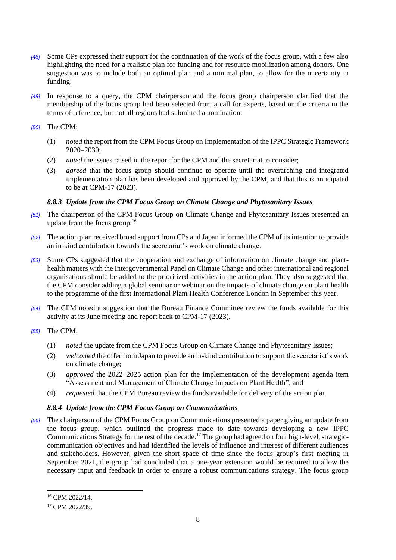- *[48]* Some CPs expressed their support for the continuation of the work of the focus group, with a few also highlighting the need for a realistic plan for funding and for resource mobilization among donors. One suggestion was to include both an optimal plan and a minimal plan, to allow for the uncertainty in funding.
- *[49]* In response to a query, the CPM chairperson and the focus group chairperson clarified that the membership of the focus group had been selected from a call for experts, based on the criteria in the terms of reference, but not all regions had submitted a nomination.

#### *[50]* The CPM:

- (1) *noted* the report from the CPM Focus Group on Implementation of the IPPC Strategic Framework 2020–2030;
- (2) *noted* the issues raised in the report for the CPM and the secretariat to consider;
- (3) *agreed* that the focus group should continue to operate until the overarching and integrated implementation plan has been developed and approved by the CPM, and that this is anticipated to be at CPM-17 (2023).

#### *8.8.3 Update from the CPM Focus Group on Climate Change and Phytosanitary Issues*

- *[51]* The chairperson of the CPM Focus Group on Climate Change and Phytosanitary Issues presented an update from the focus group.<sup>16</sup>
- *[52]* The action plan received broad support from CPs and Japan informed the CPM of its intention to provide an in-kind contribution towards the secretariat's work on climate change.
- *[53]* Some CPs suggested that the cooperation and exchange of information on climate change and planthealth matters with the Intergovernmental Panel on Climate Change and other international and regional organisations should be added to the prioritized activities in the action plan. They also suggested that the CPM consider adding a global seminar or webinar on the impacts of climate change on plant health to the programme of the first International Plant Health Conference London in September this year.
- *[54]* The CPM noted a suggestion that the Bureau Finance Committee review the funds available for this activity at its June meeting and report back to CPM-17 (2023).

#### *[55]* The CPM:

- (1) *noted* the update from the CPM Focus Group on Climate Change and Phytosanitary Issues;
- (2) *welcomed* the offer from Japan to provide an in-kind contribution to support the secretariat's work on climate change;
- (3) *approved* the 2022–2025 action plan for the implementation of the development agenda item "Assessment and Management of Climate Change Impacts on Plant Health"; and
- (4) *requested* that the CPM Bureau review the funds available for delivery of the action plan.

#### *8.8.4 Update from the CPM Focus Group on Communications*

*[56]* The chairperson of the CPM Focus Group on Communications presented a paper giving an update from the focus group, which outlined the progress made to date towards developing a new IPPC Communications Strategy for the rest of the decade.<sup>17</sup> The group had agreed on four high-level, strategiccommunication objectives and had identified the levels of influence and interest of different audiences and stakeholders. However, given the short space of time since the focus group's first meeting in September 2021, the group had concluded that a one-year extension would be required to allow the necessary input and feedback in order to ensure a robust communications strategy. The focus group

<sup>16</sup> CPM 2022/14.

<sup>&</sup>lt;sup>17</sup> CPM 2022/39.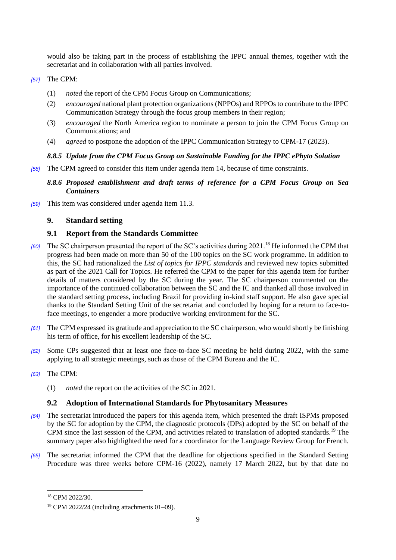would also be taking part in the process of establishing the IPPC annual themes, together with the secretariat and in collaboration with all parties involved.

#### *[57]* The CPM:

- (1) *noted* the report of the CPM Focus Group on Communications;
- (2) *encouraged* national plant protection organizations (NPPOs) and RPPOs to contribute to the IPPC Communication Strategy through the focus group members in their region;
- (3) *encouraged* the North America region to nominate a person to join the CPM Focus Group on Communications; and
- (4) *agreed* to postpone the adoption of the IPPC Communication Strategy to CPM-17 (2023).

#### *8.8.5 Update from the CPM Focus Group on Sustainable Funding for the IPPC ePhyto Solution*

*[58]* The CPM agreed to consider this item under agenda item 14, because of time constraints.

#### *8.8.6 Proposed establishment and draft terms of reference for a CPM Focus Group on Sea Containers*

*[59]* This item was considered under agenda item 11.3.

## **9. Standard setting**

## **9.1 Report from the Standards Committee**

- *[60]* The SC chairperson presented the report of the SC's activities during 2021.<sup>18</sup> He informed the CPM that progress had been made on more than 50 of the 100 topics on the SC work programme. In addition to this, the SC had rationalized the *List of topics for IPPC standards* and reviewed new topics submitted as part of the 2021 Call for Topics. He referred the CPM to the paper for this agenda item for further details of matters considered by the SC during the year. The SC chairperson commented on the importance of the continued collaboration between the SC and the IC and thanked all those involved in the standard setting process, including Brazil for providing in-kind staff support. He also gave special thanks to the Standard Setting Unit of the secretariat and concluded by hoping for a return to face-toface meetings, to engender a more productive working environment for the SC.
- *[61]* The CPM expressed its gratitude and appreciation to the SC chairperson, who would shortly be finishing his term of office, for his excellent leadership of the SC.
- *[62]* Some CPs suggested that at least one face-to-face SC meeting be held during 2022, with the same applying to all strategic meetings, such as those of the CPM Bureau and the IC.
- *[63]* The CPM:
	- (1) *noted* the report on the activities of the SC in 2021.

## **9.2 Adoption of International Standards for Phytosanitary Measures**

- *[64]* The secretariat introduced the papers for this agenda item, which presented the draft ISPMs proposed by the SC for adoption by the CPM, the diagnostic protocols (DPs) adopted by the SC on behalf of the CPM since the last session of the CPM, and activities related to translation of adopted standards.<sup>19</sup> The summary paper also highlighted the need for a coordinator for the Language Review Group for French.
- *[65]* The secretariat informed the CPM that the deadline for objections specified in the Standard Setting Procedure was three weeks before CPM-16 (2022), namely 17 March 2022, but by that date no

<sup>18</sup> CPM 2022/30.

<sup>19</sup> CPM 2022/24 (including attachments 01–09).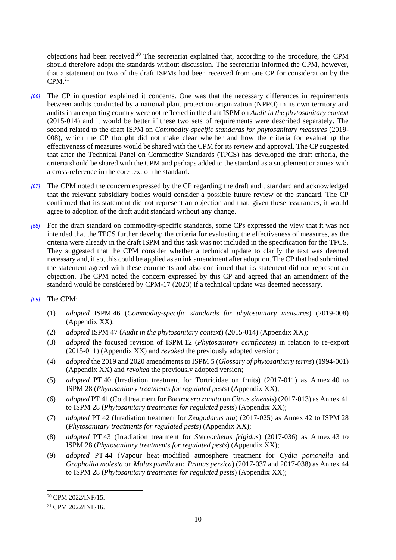objections had been received.<sup>20</sup> The secretariat explained that, according to the procedure, the CPM should therefore adopt the standards without discussion. The secretariat informed the CPM, however, that a statement on two of the draft ISPMs had been received from one CP for consideration by the  $CPM.<sup>21</sup>$ 

- *[66]* The CP in question explained it concerns. One was that the necessary differences in requirements between audits conducted by a national plant protection organization (NPPO) in its own territory and audits in an exporting country were not reflected in the draft ISPM on *Audit in the phytosanitary context*  (2015-014) and it would be better if these two sets of requirements were described separately. The second related to the draft ISPM on *Commodity-specific standards for phytosanitary measures* (2019- 008), which the CP thought did not make clear whether and how the criteria for evaluating the effectiveness of measures would be shared with the CPM for its review and approval. The CP suggested that after the Technical Panel on Commodity Standards (TPCS) has developed the draft criteria, the criteria should be shared with the CPM and perhaps added to the standard as a supplement or annex with a cross-reference in the core text of the standard.
- *[67]* The CPM noted the concern expressed by the CP regarding the draft audit standard and acknowledged that the relevant subsidiary bodies would consider a possible future review of the standard. The CP confirmed that its statement did not represent an objection and that, given these assurances, it would agree to adoption of the draft audit standard without any change.
- *[68]* For the draft standard on commodity-specific standards, some CPs expressed the view that it was not intended that the TPCS further develop the criteria for evaluating the effectiveness of measures, as the criteria were already in the draft ISPM and this task was not included in the specification for the TPCS. They suggested that the CPM consider whether a technical update to clarify the text was deemed necessary and, if so, this could be applied as an ink amendment after adoption. The CP that had submitted the statement agreed with these comments and also confirmed that its statement did not represent an objection. The CPM noted the concern expressed by this CP and agreed that an amendment of the standard would be considered by CPM-17 (2023) if a technical update was deemed necessary.
- *[69]* The CPM:
	- (1) *adopted* ISPM 46 (*Commodity-specific standards for phytosanitary measures*) (2019-008) (Appendix XX);
	- (2) *adopted* ISPM 47 (*Audit in the phytosanitary context*) (2015-014) (Appendix XX);
	- (3) *adopted* the focused revision of ISPM 12 (*Phytosanitary certificates*) in relation to re-export (2015-011) (Appendix XX) and *revoked* the previously adopted version;
	- (4) *adopted* the 2019 and 2020 amendments to ISPM 5 (*Glossary of phytosanitary terms*) (1994-001) (Appendix XX) and *revoked* the previously adopted version;
	- (5) *adopted* PT 40 (Irradiation treatment for Tortricidae on fruits) (2017-011) as Annex 40 to ISPM 28 (*Phytosanitary treatments for regulated pests*) (Appendix XX);
	- (6) *adopted* PT 41 (Cold treatment for *Bactrocera zonata* on *Citrus sinensis*) (2017-013) as Annex 41 to ISPM 28 (*Phytosanitary treatments for regulated pests*) (Appendix XX);
	- (7) *adopted* PT 42 (Irradiation treatment for *Zeugodacus tau*) (2017-025) as Annex 42 to ISPM 28 (*Phytosanitary treatments for regulated pests*) (Appendix XX);
	- (8) *adopted* PT 43 (Irradiation treatment for *Sternochetus frigidus*) (2017-036) as Annex 43 to ISPM 28 (*Phytosanitary treatments for regulated pests*) (Appendix XX);
	- (9) *adopted* PT 44 (Vapour heat–modified atmosphere treatment for *Cydia pomonella* and *Grapholita molesta* on *Malus pumila* and *Prunus persica*) (2017-037 and 2017-038) as Annex 44 to ISPM 28 (*Phytosanitary treatments for regulated pests*) (Appendix XX);

<sup>20</sup> CPM 2022/INF/15.

<sup>21</sup> CPM 2022/INF/16.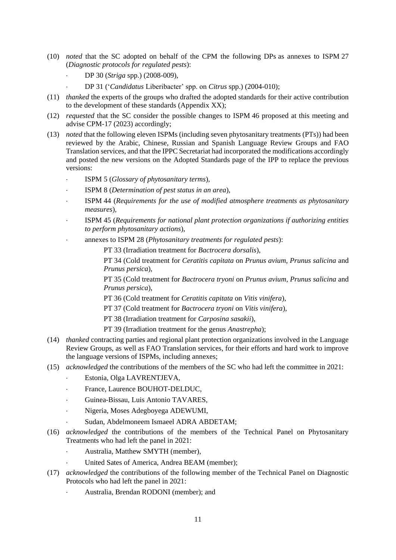- (10) *noted* that the SC adopted on behalf of the CPM the following DPs as annexes to ISPM 27 (*Diagnostic protocols for regulated pests*):
	- DP 30 (*Striga* spp.) (2008-009),
	- DP 31 ('*Candidatus* Liberibacter' spp. on *Citrus* spp.) (2004-010);
- (11) *thanked* the experts of the groups who drafted the adopted standards for their active contribution to the development of these standards (Appendix XX);
- (12) *requested* that the SC consider the possible changes to ISPM 46 proposed at this meeting and advise CPM-17 (2023) accordingly;
- (13) *noted* that the following eleven ISPMs (including seven phytosanitary treatments (PTs)) had been reviewed by the Arabic, Chinese, Russian and Spanish Language Review Groups and FAO Translation services, and that the IPPC Secretariat had incorporated the modifications accordingly and posted the new versions on the Adopted Standards page of the IPP to replace the previous versions:
	- ISPM 5 (*Glossary of phytosanitary terms*),
	- ISPM 8 (*Determination of pest status in an area*),
	- ISPM 44 (*Requirements for the use of modified atmosphere treatments as phytosanitary measures*),
	- ISPM 45 (*Requirements for national plant protection organizations if authorizing entities to perform phytosanitary actions*),
	- annexes to ISPM 28 (*Phytosanitary treatments for regulated pests*):

PT 33 (Irradiation treatment for *Bactrocera dorsalis*),

PT 34 (Cold treatment for *Ceratitis capitata* on *Prunus avium*, *Prunus salicina* and *Prunus persica*),

PT 35 (Cold treatment for *Bactrocera tryoni* on *Prunus avium*, *Prunus salicina* and *Prunus persica*),

PT 36 (Cold treatment for *Ceratitis capitata* on *Vitis vinifera*),

PT 37 (Cold treatment for *Bactrocera tryoni* on *Vitis vinifera*),

- PT 38 (Irradiation treatment for *Carposina sasakii*),
- PT 39 (Irradiation treatment for the genus *Anastrepha*);
- (14) *thanked* contracting parties and regional plant protection organizations involved in the Language Review Groups, as well as FAO Translation services, for their efforts and hard work to improve the language versions of ISPMs, including annexes;
- (15) *acknowledged* the contributions of the members of the SC who had left the committee in 2021:
	- Estonia, Olga LAVRENTJEVA,
	- France, Laurence BOUHOT-DELDUC,
	- Guinea-Bissau, Luis Antonio TAVARES,
	- Nigeria, Moses Adegboyega ADEWUMI,
	- Sudan, Abdelmoneem Ismaeel ADRA ABDETAM;
- (16) *acknowledged* the contributions of the members of the Technical Panel on Phytosanitary Treatments who had left the panel in 2021:
	- Australia, Matthew SMYTH (member),
	- United Sates of America, Andrea BEAM (member);
- (17) *acknowledged* the contributions of the following member of the Technical Panel on Diagnostic Protocols who had left the panel in 2021:
	- Australia, Brendan RODONI (member); and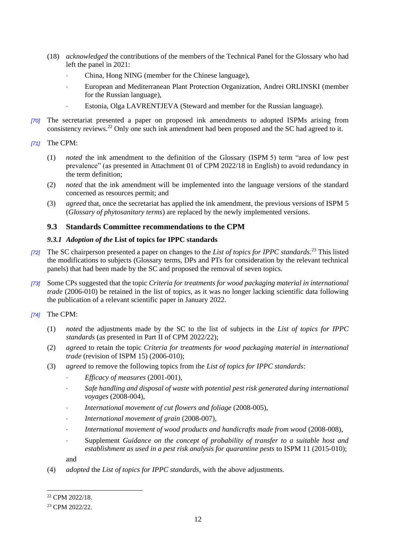- (18) *acknowledged* the contributions of the members of the Technical Panel for the Glossary who had left the panel in 2021:
	- China, Hong NING (member for the Chinese language),
	- European and Mediterranean Plant Protection Organization, Andrei ORLINSKI (member for the Russian language),
	- Estonia, Olga LAVRENTJEVA (Steward and member for the Russian language).
- *[70]* The secretariat presented a paper on proposed ink amendments to adopted ISPMs arising from consistency reviews.<sup>22</sup> Only one such ink amendment had been proposed and the SC had agreed to it.
- *[71]* The CPM:
	- (1) *noted* the ink amendment to the definition of the Glossary (ISPM 5) term "area of low pest prevalence" (as presented in Attachment 01 of CPM 2022/18 in English) to avoid redundancy in the term definition;
	- (2) *noted* that the ink amendment will be implemented into the language versions of the standard concerned as resources permit; and
	- (3) *agreed* that, once the secretariat has applied the ink amendment, the previous versions of ISPM 5 (*Glossary of phytosanitary terms*) are replaced by the newly implemented versions.

#### **9.3 Standards Committee recommendations to the CPM**

#### *9.3.1 Adoption of the* **List of topics for IPPC standards**

- *[72]* The SC chairperson presented a paper on changes to the *List of topics for IPPC standards*. <sup>23</sup> This listed the modifications to subjects (Glossary terms, DPs and PTs for consideration by the relevant technical panels) that had been made by the SC and proposed the removal of seven topics.
- *[73]* Some CPs suggested that the topic *Criteria for treatments for wood packaging material in international trade* (2006-010) be retained in the list of topics, as it was no longer lacking scientific data following the publication of a relevant scientific paper in January 2022.
- *[74]* The CPM:
	- (1) *noted* the adjustments made by the SC to the list of subjects in the *List of topics for IPPC standards* (as presented in Part II of CPM 2022/22);
	- (2) *agreed* to retain the topic *Criteria for treatments for wood packaging material in international trade* (revision of ISPM 15) (2006-010);
	- (3) *agreed* to remove the following topics from the *List of topics for IPPC standards*:
		- *Efficacy of measures* (2001-001),
		- *Safe handling and disposal of waste with potential pest risk generated during international voyages* (2008-004),
		- *International movement of cut flowers and foliage* (2008-005),
		- *International movement of grain* (2008-007),
		- *International movement of wood products and handicrafts made from wood* (2008-008),
		- Supplement *Guidance on the concept of probability of transfer to a suitable host and establishment as used in a pest risk analysis for quarantine pests* to ISPM 11 (2015-010);

and

(4) *adopted* the *List of topics for IPPC standards*, with the above adjustments.

<sup>22</sup> CPM 2022/18.

<sup>23</sup> CPM 2022/22.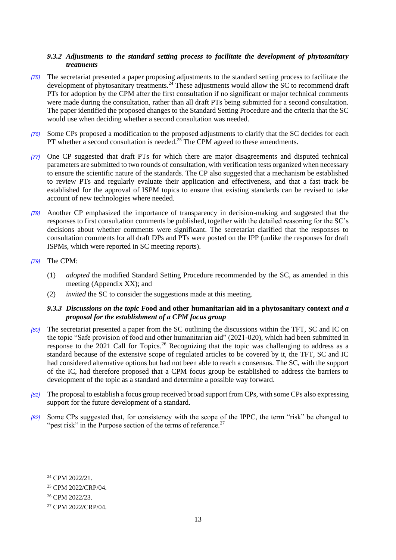#### *9.3.2 Adjustments to the standard setting process to facilitate the development of phytosanitary treatments*

- *[75]* The secretariat presented a paper proposing adjustments to the standard setting process to facilitate the development of phytosanitary treatments.<sup>24</sup> These adjustments would allow the SC to recommend draft PTs for adoption by the CPM after the first consultation if no significant or major technical comments were made during the consultation, rather than all draft PTs being submitted for a second consultation. The paper identified the proposed changes to the Standard Setting Procedure and the criteria that the SC would use when deciding whether a second consultation was needed.
- *[76]* Some CPs proposed a modification to the proposed adjustments to clarify that the SC decides for each PT whether a second consultation is needed.<sup>25</sup> The CPM agreed to these amendments.
- *[77]* One CP suggested that draft PTs for which there are major disagreements and disputed technical parameters are submitted to two rounds of consultation, with verification tests organized when necessary to ensure the scientific nature of the standards. The CP also suggested that a mechanism be established to review PTs and regularly evaluate their application and effectiveness, and that a fast track be established for the approval of ISPM topics to ensure that existing standards can be revised to take account of new technologies where needed.
- *[78]* Another CP emphasized the importance of transparency in decision-making and suggested that the responses to first consultation comments be published, together with the detailed reasoning for the SC's decisions about whether comments were significant. The secretariat clarified that the responses to consultation comments for all draft DPs and PTs were posted on the IPP (unlike the responses for draft ISPMs, which were reported in SC meeting reports).
- *[79]* The CPM:
	- (1) *adopted* the modified Standard Setting Procedure recommended by the SC, as amended in this meeting (Appendix XX); and
	- (2) *invited* the SC to consider the suggestions made at this meeting.

#### *9.3.3 Discussions on the topic* **Food and other humanitarian aid in a phytosanitary context** *and a proposal for the establishment of a CPM focus group*

- *[80]* The secretariat presented a paper from the SC outlining the discussions within the TFT, SC and IC on the topic "Safe provision of food and other humanitarian aid" (2021-020), which had been submitted in response to the 2021 Call for Topics.<sup>26</sup> Recognizing that the topic was challenging to address as a standard because of the extensive scope of regulated articles to be covered by it, the TFT, SC and IC had considered alternative options but had not been able to reach a consensus. The SC, with the support of the IC, had therefore proposed that a CPM focus group be established to address the barriers to development of the topic as a standard and determine a possible way forward.
- *[81]* The proposal to establish a focus group received broad support from CPs, with some CPs also expressing support for the future development of a standard.
- *[82]* Some CPs suggested that, for consistency with the scope of the IPPC, the term "risk" be changed to "pest risk" in the Purpose section of the terms of reference.<sup>27</sup>

<sup>24</sup> CPM 2022/21.

<sup>25</sup> CPM 2022/CRP/04.

<sup>26</sup> CPM 2022/23.

<sup>27</sup> CPM 2022/CRP/04.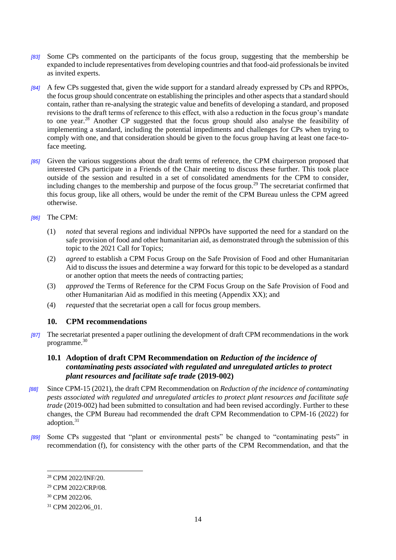- *[83]* Some CPs commented on the participants of the focus group, suggesting that the membership be expanded to include representatives from developing countries and that food-aid professionals be invited as invited experts.
- *[84]* A few CPs suggested that, given the wide support for a standard already expressed by CPs and RPPOs, the focus group should concentrate on establishing the principles and other aspects that a standard should contain, rather than re-analysing the strategic value and benefits of developing a standard, and proposed revisions to the draft terms of reference to this effect, with also a reduction in the focus group's mandate to one year.<sup>28</sup> Another CP suggested that the focus group should also analyse the feasibility of implementing a standard, including the potential impediments and challenges for CPs when trying to comply with one, and that consideration should be given to the focus group having at least one face-toface meeting.
- *[85]* Given the various suggestions about the draft terms of reference, the CPM chairperson proposed that interested CPs participate in a Friends of the Chair meeting to discuss these further. This took place outside of the session and resulted in a set of consolidated amendments for the CPM to consider, including changes to the membership and purpose of the focus group.<sup>29</sup> The secretariat confirmed that this focus group, like all others, would be under the remit of the CPM Bureau unless the CPM agreed otherwise.

#### *[86]* The CPM:

- (1) *noted* that several regions and individual NPPOs have supported the need for a standard on the safe provision of food and other humanitarian aid, as demonstrated through the submission of this topic to the 2021 Call for Topics;
- (2) *agreed* to establish a CPM Focus Group on the Safe Provision of Food and other Humanitarian Aid to discuss the issues and determine a way forward for this topic to be developed as a standard or another option that meets the needs of contracting parties;
- (3) *approved* the Terms of Reference for the CPM Focus Group on the Safe Provision of Food and other Humanitarian Aid as modified in this meeting (Appendix XX); and
- (4) *requested* that the secretariat open a call for focus group members.

## **10. CPM recommendations**

*[87]* The secretariat presented a paper outlining the development of draft CPM recommendations in the work programme.<sup>30</sup>

## **10.1 Adoption of draft CPM Recommendation on** *Reduction of the incidence of contaminating pests associated with regulated and unregulated articles to protect plant resources and facilitate safe trade* **(2019-002)**

- *[88]* Since CPM-15 (2021), the draft CPM Recommendation on *Reduction of the incidence of contaminating pests associated with regulated and unregulated articles to protect plant resources and facilitate safe trade* (2019-002) had been submitted to consultation and had been revised accordingly. Further to these changes, the CPM Bureau had recommended the draft CPM Recommendation to CPM-16 (2022) for adoption.<sup>31</sup>
- *[89]* Some CPs suggested that "plant or environmental pests" be changed to "contaminating pests" in recommendation (f), for consistency with the other parts of the CPM Recommendation, and that the

<sup>28</sup> CPM 2022/INF/20.

<sup>29</sup> CPM 2022/CRP/08.

<sup>30</sup> CPM 2022/06.

<sup>&</sup>lt;sup>31</sup> CPM 2022/06 01.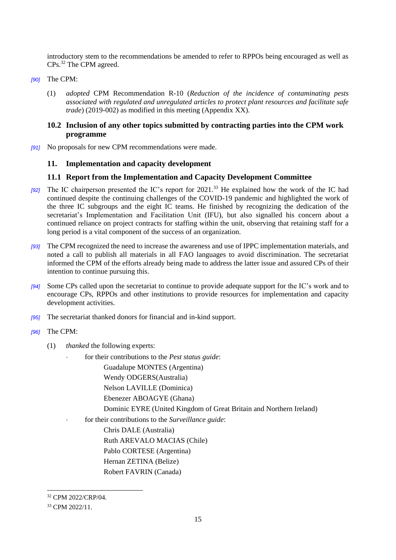introductory stem to the recommendations be amended to refer to RPPOs being encouraged as well as CPs.<sup>32</sup> The CPM agreed.

- *[90]* The CPM:
	- (1) *adopted* CPM Recommendation R-10 (*Reduction of the incidence of contaminating pests associated with regulated and unregulated articles to protect plant resources and facilitate safe trade*) (2019-002) as modified in this meeting (Appendix XX).

## **10.2 Inclusion of any other topics submitted by contracting parties into the CPM work programme**

*[91]* No proposals for new CPM recommendations were made.

#### **11. Implementation and capacity development**

#### **11.1 Report from the Implementation and Capacity Development Committee**

- *[92]* The IC chairperson presented the IC's report for 2021.<sup>33</sup> He explained how the work of the IC had continued despite the continuing challenges of the COVID-19 pandemic and highlighted the work of the three IC subgroups and the eight IC teams. He finished by recognizing the dedication of the secretariat's Implementation and Facilitation Unit (IFU), but also signalled his concern about a continued reliance on project contracts for staffing within the unit, observing that retaining staff for a long period is a vital component of the success of an organization.
- *[93]* The CPM recognized the need to increase the awareness and use of IPPC implementation materials, and noted a call to publish all materials in all FAO languages to avoid discrimination. The secretariat informed the CPM of the efforts already being made to address the latter issue and assured CPs of their intention to continue pursuing this.
- *[94]* Some CPs called upon the secretariat to continue to provide adequate support for the IC's work and to encourage CPs, RPPOs and other institutions to provide resources for implementation and capacity development activities.
- *[95]* The secretariat thanked donors for financial and in-kind support.
- *[96]* The CPM:
	- (1) *thanked* the following experts:
		- for their contributions to the *Pest status guide*:

Guadalupe MONTES (Argentina)

- Wendy ODGERS(Australia)
- Nelson LAVILLE (Dominica)
- Ebenezer ABOAGYE (Ghana)
- Dominic EYRE (United Kingdom of Great Britain and Northern Ireland)
- for their contributions to the *Surveillance guide*:

Chris DALE (Australia) Ruth AREVALO MACIAS (Chile) Pablo CORTESE (Argentina) Hernan ZETINA (Belize) Robert FAVRIN (Canada)

<sup>1</sup> <sup>32</sup> CPM 2022/CRP/04.

<sup>33</sup> CPM 2022/11.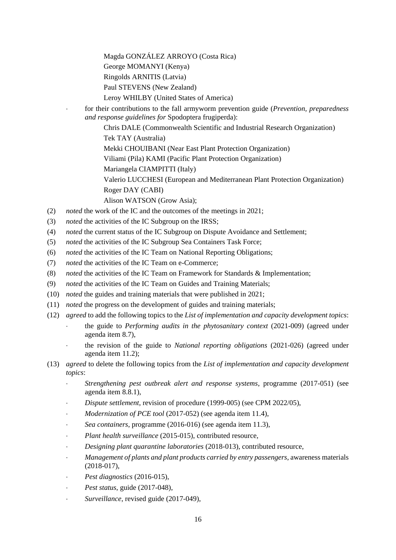Magda GONZÁLEZ ARROYO (Costa Rica) George MOMANYI (Kenya) Ringolds ARNITIS (Latvia) Paul STEVENS (New Zealand) Leroy WHILBY (United States of America)

 for their contributions to the fall armyworm prevention guide (*Prevention, preparedness and response guidelines for* Spodoptera frugiperda):

> Chris DALE (Commonwealth Scientific and Industrial Research Organization) Tek TAY (Australia) Mekki CHOUIBANI (Near East Plant Protection Organization)

Viliami (Pila) KAMI (Pacific Plant Protection Organization)

Mariangela CIAMPITTI (Italy)

Valerio LUCCHESI (European and Mediterranean Plant Protection Organization) Roger DAY (CABI)

Alison WATSON (Grow Asia);

- (2) *noted* the work of the IC and the outcomes of the meetings in 2021;
- (3) *noted* the activities of the IC Subgroup on the IRSS;
- (4) *noted* the current status of the IC Subgroup on Dispute Avoidance and Settlement;
- (5) *noted* the activities of the IC Subgroup Sea Containers Task Force;
- (6) *noted* the activities of the IC Team on National Reporting Obligations;
- (7) *noted* the activities of the IC Team on e-Commerce;
- (8) *noted* the activities of the IC Team on Framework for Standards & Implementation;
- (9) *noted* the activities of the IC Team on Guides and Training Materials;
- (10) *noted* the guides and training materials that were published in 2021;
- (11) *noted* the progress on the development of guides and training materials;
- (12) *agreed* to add the following topics to the *List of implementation and capacity development topics*:
	- the guide to *Performing audits in the phytosanitary context* (2021-009) (agreed under agenda item 8.7),
	- the revision of the guide to *National reporting obligations* (2021-026) (agreed under agenda item 11.2);
- (13) *agreed* to delete the following topics from the *List of implementation and capacity development topics*:
	- *Strengthening pest outbreak alert and response systems*, programme (2017-051) (see agenda item 8.8.1),
	- *Dispute settlement*, revision of procedure (1999-005) (see CPM 2022/05),
	- *Modernization of PCE tool* (2017-052) (see agenda item 11.4),
	- *Sea containers*, programme (2016-016) (see agenda item 11.3),
	- *Plant health surveillance* (2015-015), contributed resource,
	- *Designing plant quarantine laboratories* (2018-013), contributed resource,
	- *Management of plants and plant products carried by entry passengers*, awareness materials (2018-017),
	- *Pest diagnostics* (2016-015),
	- *Pest status*, guide (2017-048),
	- *Surveillance*, revised guide (2017-049),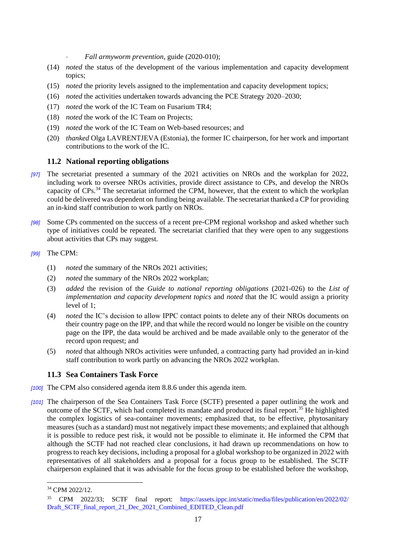*Fall armyworm prevention*, guide (2020-010);

- (14) *noted* the status of the development of the various implementation and capacity development topics;
- (15) *noted* the priority levels assigned to the implementation and capacity development topics;
- (16) *noted* the activities undertaken towards advancing the PCE Strategy 2020–2030;
- (17) *noted* the work of the IC Team on Fusarium TR4;
- (18) *noted* the work of the IC Team on Projects;
- (19) *noted* the work of the IC Team on Web-based resources; and
- (20) *thanked* Olga LAVRENTJEVA (Estonia), the former IC chairperson, for her work and important contributions to the work of the IC.

#### **11.2 National reporting obligations**

- *[97]* The secretariat presented a summary of the 2021 activities on NROs and the workplan for 2022, including work to oversee NROs activities, provide direct assistance to CPs, and develop the NROs capacity of CPs.<sup>34</sup> The secretariat informed the CPM, however, that the extent to which the workplan could be delivered was dependent on funding being available. The secretariat thanked a CP for providing an in-kind staff contribution to work partly on NROs.
- *[98]* Some CPs commented on the success of a recent pre-CPM regional workshop and asked whether such type of initiatives could be repeated. The secretariat clarified that they were open to any suggestions about activities that CPs may suggest.

#### *[99]* The CPM:

- (1) *noted* the summary of the NROs 2021 activities;
- (2) *noted* the summary of the NROs 2022 workplan;
- (3) *added* the revision of the *Guide to national reporting obligations* (2021-026) to the *List of implementation and capacity development topics* and *noted* that the IC would assign a priority level of 1;
- (4) *noted* the IC's decision to allow IPPC contact points to delete any of their NROs documents on their country page on the IPP, and that while the record would no longer be visible on the country page on the IPP, the data would be archived and be made available only to the generator of the record upon request; and
- (5) *noted* that although NROs activities were unfunded, a contracting party had provided an in-kind staff contribution to work partly on advancing the NROs 2022 workplan.

#### **11.3 Sea Containers Task Force**

- *[100]* The CPM also considered agenda item 8.8.6 under this agenda item.
- *[101]* The chairperson of the Sea Containers Task Force (SCTF) presented a paper outlining the work and outcome of the SCTF, which had completed its mandate and produced its final report.<sup>35</sup> He highlighted the complex logistics of sea-container movements; emphasized that, to be effective, phytosanitary measures (such as a standard) must not negatively impact these movements; and explained that although it is possible to reduce pest risk, it would not be possible to eliminate it. He informed the CPM that although the SCTF had not reached clear conclusions, it had drawn up recommendations on how to progress to reach key decisions, including a proposal for a global workshop to be organized in 2022 with representatives of all stakeholders and a proposal for a focus group to be established. The SCTF chairperson explained that it was advisable for the focus group to be established before the workshop,

<sup>34</sup> CPM 2022/12.

<sup>35</sup> CPM 2022/33; SCTF final report: [https://assets.ippc.int/static/media/files/publication/en/2022/02/](https://assets.ippc.int/static/media/files/publication/en/2022/02/Draft_SCTF_final_report_21_Dec_2021_Combined_EDITED_Clean.pdf) [Draft\\_SCTF\\_final\\_report\\_21\\_Dec\\_2021\\_Combined\\_EDITED\\_Clean.pdf](https://assets.ippc.int/static/media/files/publication/en/2022/02/Draft_SCTF_final_report_21_Dec_2021_Combined_EDITED_Clean.pdf)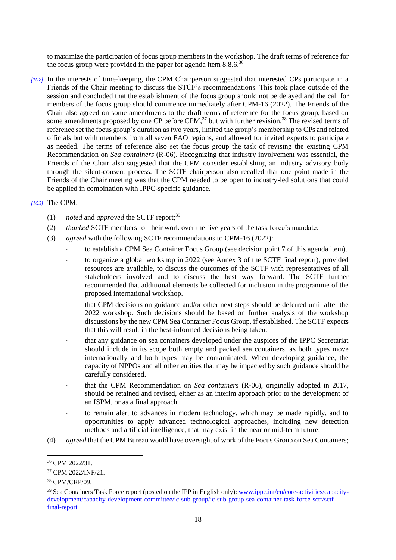to maximize the participation of focus group members in the workshop. The draft terms of reference for the focus group were provided in the paper for agenda item  $8.8.6$ <sup>36</sup>

*[102]* In the interests of time-keeping, the CPM Chairperson suggested that interested CPs participate in a Friends of the Chair meeting to discuss the STCF's recommendations. This took place outside of the session and concluded that the establishment of the focus group should not be delayed and the call for members of the focus group should commence immediately after CPM-16 (2022). The Friends of the Chair also agreed on some amendments to the draft terms of reference for the focus group, based on some amendments proposed by one CP before CPM,<sup>37</sup> but with further revision.<sup>38</sup> The revised terms of reference set the focus group's duration as two years, limited the group's membership to CPs and related officials but with members from all seven FAO regions, and allowed for invited experts to participate as needed. The terms of reference also set the focus group the task of revising the existing CPM Recommendation on *Sea containers* (R-06). Recognizing that industry involvement was essential, the Friends of the Chair also suggested that the CPM consider establishing an industry advisory body through the silent-consent process. The SCTF chairperson also recalled that one point made in the Friends of the Chair meeting was that the CPM needed to be open to industry-led solutions that could be applied in combination with IPPC-specific guidance.

#### *[103]* The CPM:

- (1) *noted* and *approved* the SCTF report;<sup>39</sup>
- (2) *thanked* SCTF members for their work over the five years of the task force's mandate;
- (3) *agreed* with the following SCTF recommendations to CPM-16 (2022):
	- to establish a CPM Sea Container Focus Group (see decision point 7 of this agenda item).
	- to organize a global workshop in 2022 (see Annex 3 of the SCTF final report), provided resources are available, to discuss the outcomes of the SCTF with representatives of all stakeholders involved and to discuss the best way forward. The SCTF further recommended that additional elements be collected for inclusion in the programme of the proposed international workshop.
	- that CPM decisions on guidance and/or other next steps should be deferred until after the 2022 workshop. Such decisions should be based on further analysis of the workshop discussions by the new CPM Sea Container Focus Group, if established. The SCTF expects that this will result in the best-informed decisions being taken.
	- that any guidance on sea containers developed under the auspices of the IPPC Secretariat should include in its scope both empty and packed sea containers, as both types move internationally and both types may be contaminated. When developing guidance, the capacity of NPPOs and all other entities that may be impacted by such guidance should be carefully considered.
	- that the CPM Recommendation on *Sea containers* (R-06), originally adopted in 2017, should be retained and revised, either as an interim approach prior to the development of an ISPM, or as a final approach.
	- to remain alert to advances in modern technology, which may be made rapidly, and to opportunities to apply advanced technological approaches, including new detection methods and artificial intelligence, that may exist in the near or mid-term future.
- (4) *agreed* that the CPM Bureau would have oversight of work of the Focus Group on Sea Containers;

<sup>36</sup> CPM 2022/31.

<sup>37</sup> CPM 2022/INF/21.

<sup>38</sup> CPM/CRP/09.

<sup>&</sup>lt;sup>39</sup> Sea Containers Task Force report (posted on the IPP in English only): [www.ippc.int/en/core-activities/capacity](https://www.ippc.int/en/core-activities/capacity-development/capacity-development-committee/ic-sub-group/ic-sub-group-sea-container-task-force-sctf/sctf-final-report/)[development/capacity-development-committee/ic-sub-group/ic-sub-group-sea-container-task-force-sctf/sctf](https://www.ippc.int/en/core-activities/capacity-development/capacity-development-committee/ic-sub-group/ic-sub-group-sea-container-task-force-sctf/sctf-final-report/)[final-report](https://www.ippc.int/en/core-activities/capacity-development/capacity-development-committee/ic-sub-group/ic-sub-group-sea-container-task-force-sctf/sctf-final-report/)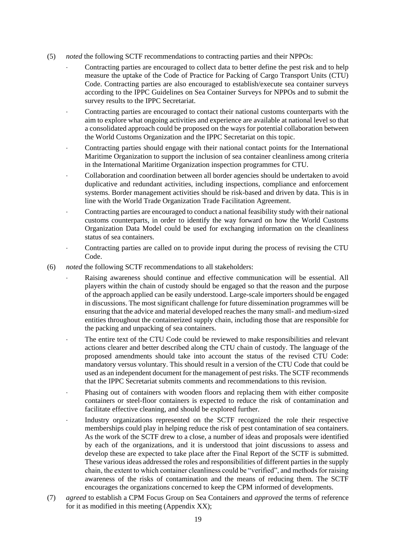- (5) *noted* the following SCTF recommendations to contracting parties and their NPPOs:
	- Contracting parties are encouraged to collect data to better define the pest risk and to help measure the uptake of the Code of Practice for Packing of Cargo Transport Units (CTU) Code. Contracting parties are also encouraged to establish/execute sea container surveys according to the IPPC Guidelines on Sea Container Surveys for NPPOs and to submit the survey results to the IPPC Secretariat.
	- Contracting parties are encouraged to contact their national customs counterparts with the aim to explore what ongoing activities and experience are available at national level so that a consolidated approach could be proposed on the ways for potential collaboration between the World Customs Organization and the IPPC Secretariat on this topic.
	- Contracting parties should engage with their national contact points for the International Maritime Organization to support the inclusion of sea container cleanliness among criteria in the International Maritime Organization inspection programmes for CTU.
	- Collaboration and coordination between all border agencies should be undertaken to avoid duplicative and redundant activities, including inspections, compliance and enforcement systems. Border management activities should be risk-based and driven by data. This is in line with the World Trade Organization Trade Facilitation Agreement.
	- Contracting parties are encouraged to conduct a national feasibility study with their national customs counterparts, in order to identify the way forward on how the World Customs Organization Data Model could be used for exchanging information on the cleanliness status of sea containers.
	- Contracting parties are called on to provide input during the process of revising the CTU Code.
- (6) *noted* the following SCTF recommendations to all stakeholders:
	- Raising awareness should continue and effective communication will be essential. All players within the chain of custody should be engaged so that the reason and the purpose of the approach applied can be easily understood. Large-scale importers should be engaged in discussions. The most significant challenge for future dissemination programmes will be ensuring that the advice and material developed reaches the many small- and medium-sized entities throughout the containerized supply chain, including those that are responsible for the packing and unpacking of sea containers.
	- The entire text of the CTU Code could be reviewed to make responsibilities and relevant actions clearer and better described along the CTU chain of custody. The language of the proposed amendments should take into account the status of the revised CTU Code: mandatory versus voluntary. This should result in a version of the CTU Code that could be used as an independent document for the management of pest risks. The SCTF recommends that the IPPC Secretariat submits comments and recommendations to this revision.
	- Phasing out of containers with wooden floors and replacing them with either composite containers or steel-floor containers is expected to reduce the risk of contamination and facilitate effective cleaning, and should be explored further.
	- Industry organizations represented on the SCTF recognized the role their respective memberships could play in helping reduce the risk of pest contamination of sea containers. As the work of the SCTF drew to a close, a number of ideas and proposals were identified by each of the organizations, and it is understood that joint discussions to assess and develop these are expected to take place after the Final Report of the SCTF is submitted. These various ideas addressed the roles and responsibilities of different parties in the supply chain, the extent to which container cleanliness could be "verified", and methods for raising awareness of the risks of contamination and the means of reducing them. The SCTF encourages the organizations concerned to keep the CPM informed of developments.
- (7) *agreed* to establish a CPM Focus Group on Sea Containers and *approved* the terms of reference for it as modified in this meeting (Appendix XX);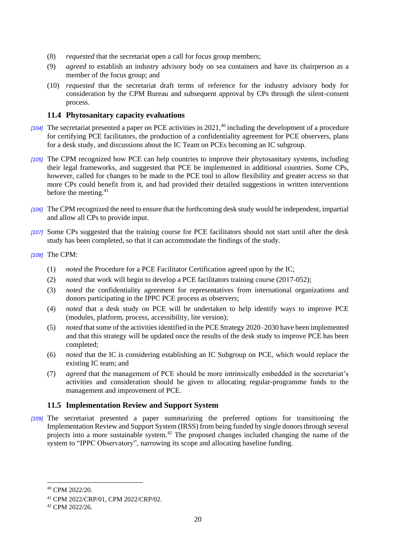- (8) *requested* that the secretariat open a call for focus group members;
- (9) *agreed* to establish an industry advisory body on sea containers and have its chairperson as a member of the focus group; and
- (10) *requested* that the secretariat draft terms of reference for the industry advisory body for consideration by the CPM Bureau and subsequent approval by CPs through the silent-consent process.

#### **11.4 Phytosanitary capacity evaluations**

- *[104]* The secretariat presented a paper on PCE activities in 2021, <sup>40</sup> including the development of a procedure for certifying PCE facilitators, the production of a confidentiality agreement for PCE observers, plans for a desk study, and discussions about the IC Team on PCEs becoming an IC subgroup.
- *[105]* The CPM recognized how PCE can help countries to improve their phytosanitary systems, including their legal frameworks, and suggested that PCE be implemented in additional countries. Some CPs, however, called for changes to be made to the PCE tool to allow flexibility and greater access so that more CPs could benefit from it, and had provided their detailed suggestions in written interventions before the meeting. 41
- *[106]* The CPM recognized the need to ensure that the forthcoming desk study would be independent, impartial and allow all CPs to provide input.
- *[107]* Some CPs suggested that the training course for PCE facilitators should not start until after the desk study has been completed, so that it can accommodate the findings of the study.

#### *[108]* The CPM:

- (1) *noted* the Procedure for a PCE Facilitator Certification agreed upon by the IC;
- (2) *noted* that work will begin to develop a PCE facilitators training course (2017-052);
- (3) *noted* the confidentiality agreement for representatives from international organizations and donors participating in the IPPC PCE process as observers;
- (4) *noted* that a desk study on PCE will be undertaken to help identify ways to improve PCE (modules, platform, process, accessibility, lite version);
- (5) *noted* that some of the activities identified in the PCE Strategy 2020–2030 have been implemented and that this strategy will be updated once the results of the desk study to improve PCE has been completed;
- (6) *noted* that the IC is considering establishing an IC Subgroup on PCE, which would replace the existing IC team; and
- (7) *agreed* that the management of PCE should be more intrinsically embedded in the secretariat's activities and consideration should be given to allocating regular-programme funds to the management and improvement of PCE.

#### **11.5 Implementation Review and Support System**

*[109]* The secretariat presented a paper summarizing the preferred options for transitioning the Implementation Review and Support System (IRSS) from being funded by single donors through several projects into a more sustainable system.<sup>42</sup> The proposed changes included changing the name of the system to "IPPC Observatory", narrowing its scope and allocating baseline funding.

<sup>40</sup> CPM 2022/20.

<sup>41</sup> CPM 2022/CRP/01, CPM 2022/CRP/02.

<sup>42</sup> CPM 2022/26.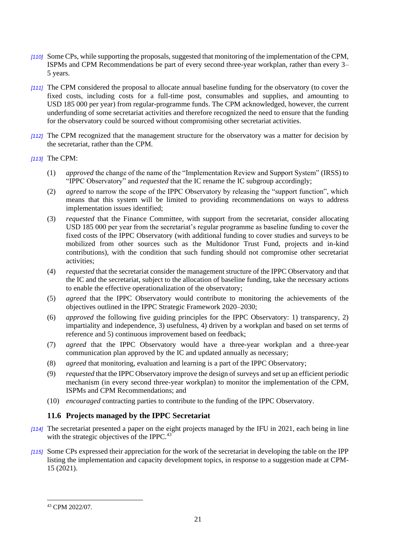- *[110]* Some CPs, while supporting the proposals, suggested that monitoring of the implementation of the CPM, ISPMs and CPM Recommendations be part of every second three-year workplan, rather than every 3– 5 years.
- *[111]* The CPM considered the proposal to allocate annual baseline funding for the observatory (to cover the fixed costs, including costs for a full-time post, consumables and supplies, and amounting to USD 185 000 per year) from regular-programme funds. The CPM acknowledged, however, the current underfunding of some secretariat activities and therefore recognized the need to ensure that the funding for the observatory could be sourced without compromising other secretariat activities.
- *[112]* The CPM recognized that the management structure for the observatory was a matter for decision by the secretariat, rather than the CPM.
- *[113]* The CPM:
	- (1) *approved* the change of the name of the "Implementation Review and Support System" (IRSS) to "IPPC Observatory" and *requested* that the IC rename the IC subgroup accordingly;
	- (2) *agreed* to narrow the scope of the IPPC Observatory by releasing the "support function", which means that this system will be limited to providing recommendations on ways to address implementation issues identified;
	- (3) *requested* that the Finance Committee, with support from the secretariat, consider allocating USD 185 000 per year from the secretariat's regular programme as baseline funding to cover the fixed costs of the IPPC Observatory (with additional funding to cover studies and surveys to be mobilized from other sources such as the Multidonor Trust Fund, projects and in-kind contributions), with the condition that such funding should not compromise other secretariat activities;
	- (4) *requested* that the secretariat consider the management structure of the IPPC Observatory and that the IC and the secretariat, subject to the allocation of baseline funding, take the necessary actions to enable the effective operationalization of the observatory;
	- (5) *agreed* that the IPPC Observatory would contribute to monitoring the achievements of the objectives outlined in the IPPC Strategic Framework 2020–2030;
	- (6) *approved* the following five guiding principles for the IPPC Observatory: 1) transparency, 2) impartiality and independence, 3) usefulness, 4) driven by a workplan and based on set terms of reference and 5) continuous improvement based on feedback;
	- (7) *agreed* that the IPPC Observatory would have a three-year workplan and a three-year communication plan approved by the IC and updated annually as necessary;
	- (8) *agreed* that monitoring, evaluation and learning is a part of the IPPC Observatory;
	- (9) *requested* that the IPPC Observatory improve the design of surveys and set up an efficient periodic mechanism (in every second three-year workplan) to monitor the implementation of the CPM, ISPMs and CPM Recommendations; and
	- (10) *encouraged* contracting parties to contribute to the funding of the IPPC Observatory.

## **11.6 Projects managed by the IPPC Secretariat**

- *[114]* The secretariat presented a paper on the eight projects managed by the IFU in 2021, each being in line with the strategic objectives of the IPPC. $43$
- *[115]* Some CPs expressed their appreciation for the work of the secretariat in developing the table on the IPP listing the implementation and capacity development topics, in response to a suggestion made at CPM-15 (2021).

<sup>43</sup> CPM 2022/07.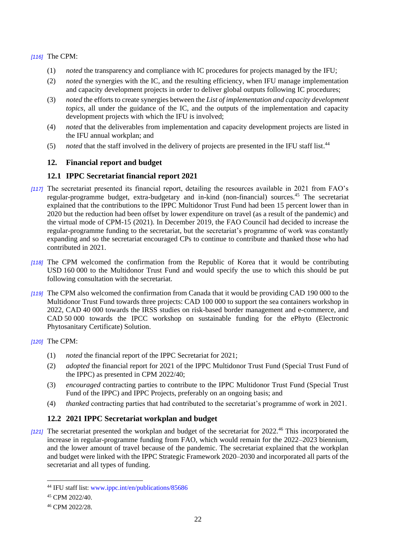*[116]* The CPM:

- (1) *noted* the transparency and compliance with IC procedures for projects managed by the IFU;
- (2) *noted* the synergies with the IC, and the resulting efficiency, when IFU manage implementation and capacity development projects in order to deliver global outputs following IC procedures;
- (3) *noted* the efforts to create synergies between the *List of implementation and capacity development topics*, all under the guidance of the IC, and the outputs of the implementation and capacity development projects with which the IFU is involved;
- (4) *noted* that the deliverables from implementation and capacity development projects are listed in the IFU annual workplan; and
- (5) *noted* that the staff involved in the delivery of projects are presented in the IFU staff list. 44

## **12. Financial report and budget**

## **12.1 IPPC Secretariat financial report 2021**

- *[117]* The secretariat presented its financial report, detailing the resources available in 2021 from FAO's regular-programme budget, extra-budgetary and in-kind (non-financial) sources.<sup>45</sup> The secretariat explained that the contributions to the IPPC Multidonor Trust Fund had been 15 percent lower than in 2020 but the reduction had been offset by lower expenditure on travel (as a result of the pandemic) and the virtual mode of CPM-15 (2021). In December 2019, the FAO Council had decided to increase the regular-programme funding to the secretariat, but the secretariat's programme of work was constantly expanding and so the secretariat encouraged CPs to continue to contribute and thanked those who had contributed in 2021.
- *[118]* The CPM welcomed the confirmation from the Republic of Korea that it would be contributing USD 160 000 to the Multidonor Trust Fund and would specify the use to which this should be put following consultation with the secretariat.
- *[119]* The CPM also welcomed the confirmation from Canada that it would be providing CAD 190 000 to the Multidonor Trust Fund towards three projects: CAD 100 000 to support the sea containers workshop in 2022, CAD 40 000 towards the IRSS studies on risk-based border management and e-commerce, and CAD 50 000 towards the IPCC workshop on sustainable funding for the ePhyto (Electronic Phytosanitary Certificate) Solution.

*[120]* The CPM:

- (1) *noted* the financial report of the IPPC Secretariat for 2021;
- (2) *adopted* the financial report for 2021 of the IPPC Multidonor Trust Fund (Special Trust Fund of the IPPC) as presented in CPM 2022/40;
- (3) *encouraged* contracting parties to contribute to the IPPC Multidonor Trust Fund (Special Trust Fund of the IPPC) and IPPC Projects, preferably on an ongoing basis; and
- (4) *thanked* contracting parties that had contributed to the secretariat's programme of work in 2021.

## **12.2 2021 IPPC Secretariat workplan and budget**

*[121]* The secretariat presented the workplan and budget of the secretariat for 2022.<sup>46</sup> This incorporated the increase in regular-programme funding from FAO, which would remain for the 2022–2023 biennium, and the lower amount of travel because of the pandemic. The secretariat explained that the workplan and budget were linked with the IPPC Strategic Framework 2020–2030 and incorporated all parts of the secretariat and all types of funding.

<sup>44</sup> IFU staff list: [www.ippc.int/en/publications/85686](https://www.ippc.int/en/publications/85686/)

<sup>45</sup> CPM 2022/40.

<sup>46</sup> CPM 2022/28.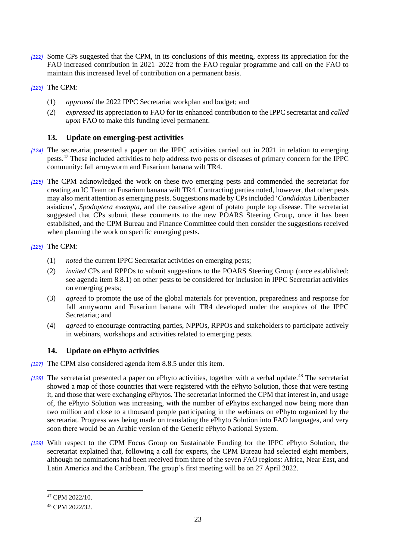- *[122]* Some CPs suggested that the CPM, in its conclusions of this meeting, express its appreciation for the FAO increased contribution in 2021–2022 from the FAO regular programme and call on the FAO to maintain this increased level of contribution on a permanent basis.
- *[123]* The CPM:
	- (1) *approved* the 2022 IPPC Secretariat workplan and budget; and
	- (2) *expressed* its appreciation to FAO for its enhanced contribution to the IPPC secretariat and *called upon* FAO to make this funding level permanent.

#### **13. Update on emerging-pest activities**

- *[124]* The secretariat presented a paper on the IPPC activities carried out in 2021 in relation to emerging pests.<sup>47</sup> These included activities to help address two pests or diseases of primary concern for the IPPC community: fall armyworm and Fusarium banana wilt TR4.
- *[125]* The CPM acknowledged the work on these two emerging pests and commended the secretariat for creating an IC Team on Fusarium banana wilt TR4. Contracting parties noted, however, that other pests may also merit attention as emerging pests. Suggestions made by CPs included '*Candidatus* Liberibacter asiaticus', *Spodoptera exempta*, and the causative agent of potato purple top disease. The secretariat suggested that CPs submit these comments to the new POARS Steering Group, once it has been established, and the CPM Bureau and Finance Committee could then consider the suggestions received when planning the work on specific emerging pests.

#### *[126]* The CPM:

- (1) *noted* the current IPPC Secretariat activities on emerging pests;
- (2) *invited* CPs and RPPOs to submit suggestions to the POARS Steering Group (once established: see agenda item 8.8.1) on other pests to be considered for inclusion in IPPC Secretariat activities on emerging pests;
- (3) *agreed* to promote the use of the global materials for prevention, preparedness and response for fall armyworm and Fusarium banana wilt TR4 developed under the auspices of the IPPC Secretariat; and
- (4) *agreed* to encourage contracting parties, NPPOs, RPPOs and stakeholders to participate actively in webinars, workshops and activities related to emerging pests.

## **14. Update on ePhyto activities**

- *[127]* The CPM also considered agenda item 8.8.5 under this item.
- *[128]* The secretariat presented a paper on ePhyto activities, together with a verbal update.<sup>48</sup> The secretariat showed a map of those countries that were registered with the ePhyto Solution, those that were testing it, and those that were exchanging ePhytos. The secretariat informed the CPM that interest in, and usage of, the ePhyto Solution was increasing, with the number of ePhytos exchanged now being more than two million and close to a thousand people participating in the webinars on ePhyto organized by the secretariat. Progress was being made on translating the ePhyto Solution into FAO languages, and very soon there would be an Arabic version of the Generic ePhyto National System.
- *[129]* With respect to the CPM Focus Group on Sustainable Funding for the IPPC ePhyto Solution, the secretariat explained that, following a call for experts, the CPM Bureau had selected eight members, although no nominations had been received from three of the seven FAO regions: Africa, Near East, and Latin America and the Caribbean. The group's first meeting will be on 27 April 2022.

<sup>47</sup> CPM 2022/10.

<sup>48</sup> CPM 2022/32.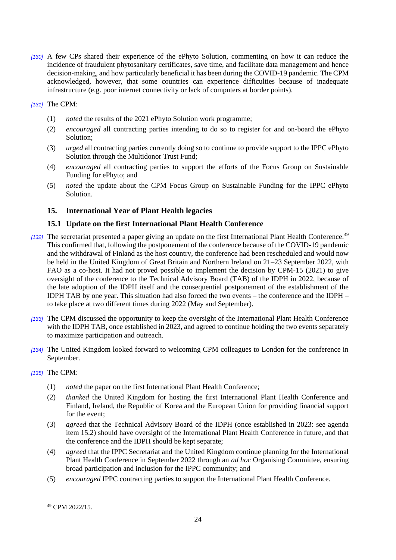*[130]* A few CPs shared their experience of the ePhyto Solution, commenting on how it can reduce the incidence of fraudulent phytosanitary certificates, save time, and facilitate data management and hence decision-making, and how particularly beneficial it has been during the COVID-19 pandemic. The CPM acknowledged, however, that some countries can experience difficulties because of inadequate infrastructure (e.g. poor internet connectivity or lack of computers at border points).

*[131]* The CPM:

- (1) *noted* the results of the 2021 ePhyto Solution work programme;
- (2) *encouraged* all contracting parties intending to do so to register for and on-board the ePhyto Solution;
- (3) *urged* all contracting parties currently doing so to continue to provide support to the IPPC ePhyto Solution through the Multidonor Trust Fund;
- (4) *encouraged* all contracting parties to support the efforts of the Focus Group on Sustainable Funding for ePhyto; and
- (5) *noted* the update about the CPM Focus Group on Sustainable Funding for the IPPC ePhyto Solution.

## **15. International Year of Plant Health legacies**

## **15.1 Update on the first International Plant Health Conference**

- *[132]* The secretariat presented a paper giving an update on the first International Plant Health Conference.<sup>49</sup> This confirmed that, following the postponement of the conference because of the COVID-19 pandemic and the withdrawal of Finland as the host country, the conference had been rescheduled and would now be held in the United Kingdom of Great Britain and Northern Ireland on 21–23 September 2022, with FAO as a co-host. It had not proved possible to implement the decision by CPM-15 (2021) to give oversight of the conference to the Technical Advisory Board (TAB) of the IDPH in 2022, because of the late adoption of the IDPH itself and the consequential postponement of the establishment of the IDPH TAB by one year. This situation had also forced the two events – the conference and the IDPH – to take place at two different times during 2022 (May and September).
- *[133]* The CPM discussed the opportunity to keep the oversight of the International Plant Health Conference with the IDPH TAB, once established in 2023, and agreed to continue holding the two events separately to maximize participation and outreach.
- *[134]* The United Kingdom looked forward to welcoming CPM colleagues to London for the conference in September.

#### *[135]* The CPM:

- (1) *noted* the paper on the first International Plant Health Conference;
- (2) *thanked* the United Kingdom for hosting the first International Plant Health Conference and Finland, Ireland, the Republic of Korea and the European Union for providing financial support for the event;
- (3) *agreed* that the Technical Advisory Board of the IDPH (once established in 2023: see agenda item 15.2) should have oversight of the International Plant Health Conference in future, and that the conference and the IDPH should be kept separate;
- (4) *agreed* that the IPPC Secretariat and the United Kingdom continue planning for the International Plant Health Conference in September 2022 through an *ad hoc* Organising Committee, ensuring broad participation and inclusion for the IPPC community; and
- (5) *encouraged* IPPC contracting parties to support the International Plant Health Conference.

<sup>49</sup> CPM 2022/15.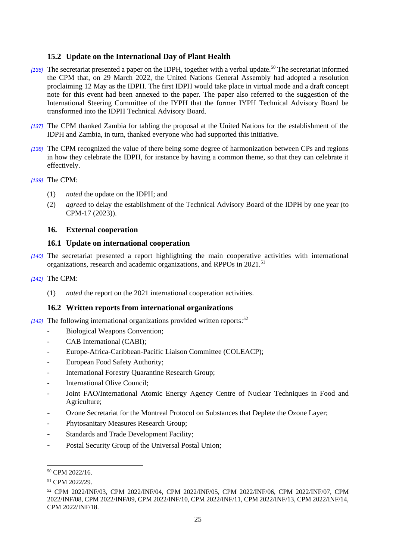## **15.2 Update on the International Day of Plant Health**

- *[136]* The secretariat presented a paper on the IDPH, together with a verbal update.<sup>50</sup> The secretariat informed the CPM that, on 29 March 2022, the United Nations General Assembly had adopted a resolution proclaiming 12 May as the IDPH. The first IDPH would take place in virtual mode and a draft concept note for this event had been annexed to the paper. The paper also referred to the suggestion of the International Steering Committee of the IYPH that the former IYPH Technical Advisory Board be transformed into the IDPH Technical Advisory Board.
- *[137]* The CPM thanked Zambia for tabling the proposal at the United Nations for the establishment of the IDPH and Zambia, in turn, thanked everyone who had supported this initiative.
- *[138]* The CPM recognized the value of there being some degree of harmonization between CPs and regions in how they celebrate the IDPH, for instance by having a common theme, so that they can celebrate it effectively.
- *[139]* The CPM:
	- (1) *noted* the update on the IDPH; and
	- (2) *agreed* to delay the establishment of the Technical Advisory Board of the IDPH by one year (to CPM-17 (2023)).

#### **16. External cooperation**

#### **16.1 Update on international cooperation**

- *[140]* The secretariat presented a report highlighting the main cooperative activities with international organizations, research and academic organizations, and RPPOs in 2021.<sup>51</sup>
- *[141]* The CPM:
	- (1) *noted* the report on the 2021 international cooperation activities.

#### **16.2 Written reports from international organizations**

 $[142]$  The following international organizations provided written reports:<sup>52</sup>

- Biological Weapons Convention;
- CAB International (CABI);
- Europe-Africa-Caribbean-Pacific Liaison Committee (COLEACP);
- European Food Safety Authority:
- International Forestry Quarantine Research Group;
- International Olive Council:
- Joint FAO/International Atomic Energy Agency Centre of Nuclear Techniques in Food and Agriculture;
- Ozone Secretariat for the Montreal Protocol on Substances that Deplete the Ozone Layer;
- Phytosanitary Measures Research Group;
- Standards and Trade Development Facility;
- Postal Security Group of the Universal Postal Union;

<sup>50</sup> CPM 2022/16.

<sup>51</sup> CPM 2022/29.

<sup>52</sup> CPM 2022/INF/03, CPM 2022/INF/04, CPM 2022/INF/05, CPM 2022/INF/06, CPM 2022/INF/07, CPM 2022/INF/08, CPM 2022/INF/09, CPM 2022/INF/10, CPM 2022/INF/11, CPM 2022/INF/13, CPM 2022/INF/14, CPM 2022/INF/18.